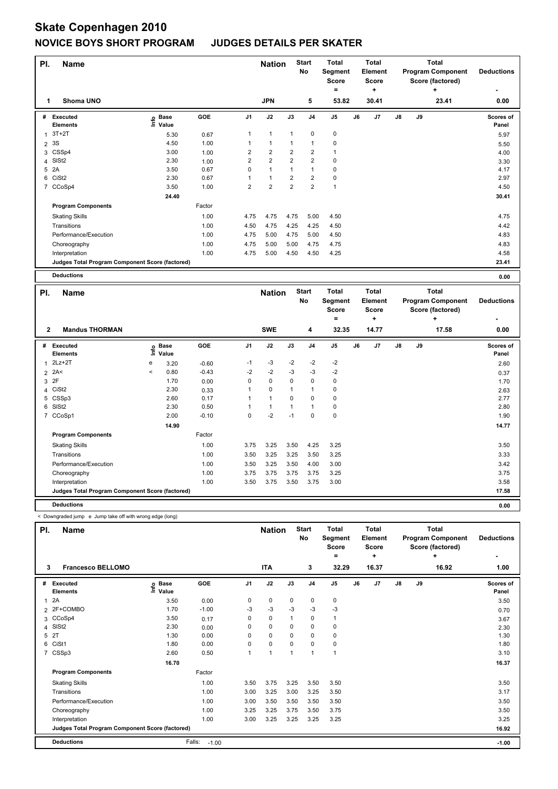## **Skate Copenhagen 2010 NOVICE BOYS SHORT PROGRAM JUDGES DETAILS PER SKATER**

| PI.<br><b>Name</b> |                                                 |                                  |        |                |                | <b>Nation</b>  | <b>Start</b><br>No | <b>Total</b><br>Segment<br><b>Score</b><br>۰ |    | Total<br>Element<br><b>Score</b><br>÷ |               | Total<br><b>Program Component</b><br>Score (factored) | <b>Deductions</b><br>۰ |                    |
|--------------------|-------------------------------------------------|----------------------------------|--------|----------------|----------------|----------------|--------------------|----------------------------------------------|----|---------------------------------------|---------------|-------------------------------------------------------|------------------------|--------------------|
| 1                  | Shoma UNO                                       |                                  |        |                | <b>JPN</b>     |                | 5                  | 53.82                                        |    | 30.41                                 |               |                                                       | ÷<br>23.41             | 0.00               |
| #                  | Executed<br><b>Elements</b>                     | <b>Base</b><br>e Base<br>⊆ Value | GOE    | J <sub>1</sub> | J2             | J3             | J <sub>4</sub>     | J <sub>5</sub>                               | J6 | J7                                    | $\mathsf{J}8$ | J9                                                    |                        | Scores of<br>Panel |
| 1                  | $3T+2T$                                         | 5.30                             | 0.67   | 1              | 1              | $\mathbf{1}$   | 0                  | $\mathbf 0$                                  |    |                                       |               |                                                       |                        | 5.97               |
| $\overline{2}$     | 3S                                              | 4.50                             | 1.00   | 1              | 1              | 1              | 1                  | 0                                            |    |                                       |               |                                                       |                        | 5.50               |
|                    | 3 CSSp4                                         | 3.00                             | 1.00   | 2              | $\overline{2}$ | $\overline{2}$ | 2                  | 1                                            |    |                                       |               |                                                       |                        | 4.00               |
|                    | 4 SISt2                                         | 2.30                             | 1.00   | $\overline{2}$ | $\overline{2}$ | $\overline{2}$ | $\overline{2}$     | 0                                            |    |                                       |               |                                                       |                        | 3.30               |
| 5                  | 2A                                              | 3.50                             | 0.67   | 0              | 1              | 1              |                    | 0                                            |    |                                       |               |                                                       |                        | 4.17               |
| 6                  | CiSt <sub>2</sub>                               | 2.30                             | 0.67   |                | 1              | $\overline{2}$ | 2                  | $\pmb{0}$                                    |    |                                       |               |                                                       |                        | 2.97               |
|                    | 7 CCoSp4                                        | 3.50                             | 1.00   | 2              | $\overline{2}$ | $\overline{2}$ | $\overline{2}$     | $\overline{1}$                               |    |                                       |               |                                                       |                        | 4.50               |
|                    |                                                 | 24.40                            |        |                |                |                |                    |                                              |    |                                       |               |                                                       |                        | 30.41              |
|                    | <b>Program Components</b>                       |                                  | Factor |                |                |                |                    |                                              |    |                                       |               |                                                       |                        |                    |
|                    | <b>Skating Skills</b>                           |                                  | 1.00   | 4.75           | 4.75           | 4.75           | 5.00               | 4.50                                         |    |                                       |               |                                                       |                        | 4.75               |
|                    | Transitions                                     |                                  | 1.00   | 4.50           | 4.75           | 4.25           | 4.25               | 4.50                                         |    |                                       |               |                                                       |                        | 4.42               |
|                    | Performance/Execution                           |                                  | 1.00   | 4.75           | 5.00           | 4.75           | 5.00               | 4.50                                         |    |                                       |               |                                                       |                        | 4.83               |
|                    | Choreography                                    |                                  | 1.00   | 4.75           | 5.00           | 5.00           | 4.75               | 4.75                                         |    |                                       |               |                                                       |                        | 4.83               |
|                    | Interpretation                                  |                                  | 1.00   | 4.75           | 5.00           | 4.50           | 4.50               | 4.25                                         |    |                                       |               |                                                       |                        | 4.58               |
|                    | Judges Total Program Component Score (factored) |                                  |        |                |                |                |                    |                                              |    |                                       |               |                                                       |                        | 23.41              |
|                    | <b>Deductions</b>                               |                                  |        |                |                |                |                    |                                              |    |                                       |               |                                                       |                        | 0.00               |

| PI.<br><b>Name</b> |                                                 |                          |                      |         |                | <b>Start</b><br><b>Nation</b><br><b>No</b> |              |                | <b>Total</b><br>Segment<br><b>Score</b><br>٠ |    | <b>Total</b><br>Element<br><b>Score</b><br>÷ |               | Total<br><b>Program Component</b><br>Score (factored) | <b>Deductions</b> |                           |
|--------------------|-------------------------------------------------|--------------------------|----------------------|---------|----------------|--------------------------------------------|--------------|----------------|----------------------------------------------|----|----------------------------------------------|---------------|-------------------------------------------------------|-------------------|---------------------------|
| 2                  | <b>Mandus THORMAN</b>                           |                          |                      |         |                | <b>SWE</b>                                 |              | 4              | 32.35                                        |    | 14.77                                        |               |                                                       | 17.58             | 0.00                      |
| #                  | Executed<br><b>Elements</b>                     | ١nfo                     | <b>Base</b><br>Value | GOE     | J <sub>1</sub> | J2                                         | J3           | J <sub>4</sub> | J <sub>5</sub>                               | J6 | J7                                           | $\mathsf{J}8$ | J9                                                    |                   | <b>Scores of</b><br>Panel |
| 1                  | $2Lz+2T$                                        | e                        | 3.20                 | $-0.60$ | $-1$           | $-3$                                       | $-2$         | $-2$           | $-2$                                         |    |                                              |               |                                                       |                   | 2.60                      |
| $\overline{2}$     | 2A<                                             | $\overline{\phantom{a}}$ | 0.80                 | $-0.43$ | $-2$           | $-2$                                       | $-3$         | -3             | $-2$                                         |    |                                              |               |                                                       |                   | 0.37                      |
| 3                  | 2F                                              |                          | 1.70                 | 0.00    | 0              | $\mathbf 0$                                | 0            | 0              | 0                                            |    |                                              |               |                                                       |                   | 1.70                      |
| 4                  | CiSt <sub>2</sub>                               |                          | 2.30                 | 0.33    | 1              | $\Omega$                                   | $\mathbf{1}$ | 1              | 0                                            |    |                                              |               |                                                       |                   | 2.63                      |
| 5                  | CSSp3                                           |                          | 2.60                 | 0.17    | $\mathbf{1}$   | $\mathbf{1}$                               | $\Omega$     | 0              | $\mathbf 0$                                  |    |                                              |               |                                                       |                   | 2.77                      |
| 6                  | SISt <sub>2</sub>                               |                          | 2.30                 | 0.50    |                | $\mathbf{1}$                               | $\mathbf{1}$ | 1              | $\pmb{0}$                                    |    |                                              |               |                                                       |                   | 2.80                      |
| 7                  | CCoSp1                                          |                          | 2.00                 | $-0.10$ | $\mathbf 0$    | $-2$                                       | $-1$         | $\mathbf 0$    | $\pmb{0}$                                    |    |                                              |               |                                                       |                   | 1.90                      |
|                    |                                                 |                          | 14.90                |         |                |                                            |              |                |                                              |    |                                              |               |                                                       |                   | 14.77                     |
|                    | <b>Program Components</b>                       |                          |                      | Factor  |                |                                            |              |                |                                              |    |                                              |               |                                                       |                   |                           |
|                    | <b>Skating Skills</b>                           |                          |                      | 1.00    | 3.75           | 3.25                                       | 3.50         | 4.25           | 3.25                                         |    |                                              |               |                                                       |                   | 3.50                      |
|                    | Transitions                                     |                          |                      | 1.00    | 3.50           | 3.25                                       | 3.25         | 3.50           | 3.25                                         |    |                                              |               |                                                       |                   | 3.33                      |
|                    | Performance/Execution                           |                          |                      | 1.00    | 3.50           | 3.25                                       | 3.50         | 4.00           | 3.00                                         |    |                                              |               |                                                       |                   | 3.42                      |
|                    | Choreography                                    |                          |                      | 1.00    | 3.75           | 3.75                                       | 3.75         | 3.75           | 3.25                                         |    |                                              |               |                                                       |                   | 3.75                      |
|                    | Interpretation                                  |                          |                      | 1.00    | 3.50           | 3.75                                       | 3.50         | 3.75           | 3.00                                         |    |                                              |               |                                                       |                   | 3.58                      |
|                    | Judges Total Program Component Score (factored) |                          |                      |         |                |                                            |              |                |                                              |    |                                              |               |                                                       |                   | 17.58                     |
|                    | <b>Deductions</b>                               |                          |                      |         |                |                                            |              |                |                                              |    |                                              |               |                                                       |                   | 0.00                      |

< Downgraded jump e Jump take off with wrong edge (long)

| PI.<br><b>Name</b> |                                                 |                            |                   |                | <b>Nation</b>  |          | <b>Start</b><br>No | <b>Total</b><br>Segment<br><b>Score</b><br>Ξ. |    | <b>Total</b><br><b>Element</b><br><b>Score</b><br>٠ |               | <b>Total</b><br><b>Program Component</b><br>Score (factored) | <b>Deductions</b> |                    |
|--------------------|-------------------------------------------------|----------------------------|-------------------|----------------|----------------|----------|--------------------|-----------------------------------------------|----|-----------------------------------------------------|---------------|--------------------------------------------------------------|-------------------|--------------------|
| 3                  | <b>Francesco BELLOMO</b>                        |                            |                   |                | <b>ITA</b>     |          | 3                  | 32.29                                         |    | 16.37                                               |               |                                                              | ÷<br>16.92        | 1.00               |
| #                  | Executed<br><b>Elements</b>                     | e Base<br>E Value<br>Value | GOE               | J <sub>1</sub> | J2             | J3       | J <sub>4</sub>     | J <sub>5</sub>                                | J6 | J7                                                  | $\mathsf{J}8$ | J9                                                           |                   | Scores of<br>Panel |
| $\mathbf{1}$       | 2A                                              | 3.50                       | 0.00              | 0              | $\pmb{0}$      | 0        | $\pmb{0}$          | $\pmb{0}$                                     |    |                                                     |               |                                                              |                   | 3.50               |
|                    | 2 2F+COMBO                                      | 1.70                       | $-1.00$           | -3             | $-3$           | $-3$     | $-3$               | $-3$                                          |    |                                                     |               |                                                              |                   | 0.70               |
|                    | 3 CCoSp4                                        | 3.50                       | 0.17              | 0              | 0              |          | 0                  | 1                                             |    |                                                     |               |                                                              |                   | 3.67               |
| 4                  | SISt <sub>2</sub>                               | 2.30                       | 0.00              | 0              | $\mathbf 0$    | 0        | 0                  | 0                                             |    |                                                     |               |                                                              |                   | 2.30               |
| 5                  | 2T                                              | 1.30                       | 0.00              | $\Omega$       | 0              | $\Omega$ | 0                  | 0                                             |    |                                                     |               |                                                              |                   | 1.30               |
| 6                  | CiSt1                                           | 1.80                       | 0.00              | 0              | $\pmb{0}$      | 0        | 0                  | 0                                             |    |                                                     |               |                                                              |                   | 1.80               |
|                    | 7 CSSp3                                         | 2.60                       | 0.50              |                | $\overline{1}$ | 1        | $\overline{1}$     | $\mathbf{1}$                                  |    |                                                     |               |                                                              |                   | 3.10               |
|                    |                                                 | 16.70                      |                   |                |                |          |                    |                                               |    |                                                     |               |                                                              |                   | 16.37              |
|                    | <b>Program Components</b>                       |                            | Factor            |                |                |          |                    |                                               |    |                                                     |               |                                                              |                   |                    |
|                    | <b>Skating Skills</b>                           |                            | 1.00              | 3.50           | 3.75           | 3.25     | 3.50               | 3.50                                          |    |                                                     |               |                                                              |                   | 3.50               |
|                    | Transitions                                     |                            | 1.00              | 3.00           | 3.25           | 3.00     | 3.25               | 3.50                                          |    |                                                     |               |                                                              |                   | 3.17               |
|                    | Performance/Execution                           |                            | 1.00              | 3.00           | 3.50           | 3.50     | 3.50               | 3.50                                          |    |                                                     |               |                                                              |                   | 3.50               |
|                    | Choreography                                    |                            | 1.00              | 3.25           | 3.25           | 3.75     | 3.50               | 3.75                                          |    |                                                     |               |                                                              |                   | 3.50               |
|                    | Interpretation                                  |                            | 1.00              | 3.00           | 3.25           | 3.25     | 3.25               | 3.25                                          |    |                                                     |               |                                                              |                   | 3.25               |
|                    | Judges Total Program Component Score (factored) |                            |                   |                |                |          |                    |                                               |    |                                                     |               |                                                              |                   | 16.92              |
|                    | <b>Deductions</b>                               |                            | Falls:<br>$-1.00$ |                |                |          |                    |                                               |    |                                                     |               |                                                              |                   | $-1.00$            |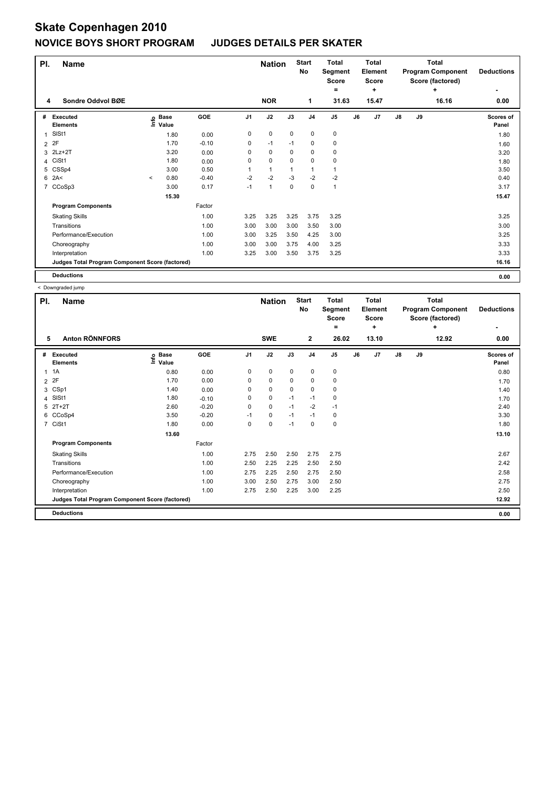# **Skate Copenhagen 2010 NOVICE BOYS SHORT PROGRAM JUDGES DETAILS PER SKATER**

| PI.<br><b>Name</b> |                                                 |         |                      |         |                |              | <b>Nation</b> | <b>Start</b><br>No | <b>Total</b><br>Segment<br><b>Score</b><br>۰ |    | <b>Total</b><br>Element<br><b>Score</b><br>٠ |               | <b>Total</b><br><b>Program Component</b><br>Score (factored) | <b>Deductions</b> |                    |
|--------------------|-------------------------------------------------|---------|----------------------|---------|----------------|--------------|---------------|--------------------|----------------------------------------------|----|----------------------------------------------|---------------|--------------------------------------------------------------|-------------------|--------------------|
| 4                  | Sondre Oddvol BØE                               |         |                      |         |                | <b>NOR</b>   |               | 1                  | 31.63                                        |    | 15.47                                        |               |                                                              | ÷<br>16.16        | 0.00               |
| #                  | Executed<br><b>Elements</b>                     | ۴٥      | <b>Base</b><br>Value | GOE     | J <sub>1</sub> | J2           | J3            | J <sub>4</sub>     | J <sub>5</sub>                               | J6 | J7                                           | $\mathsf{J}8$ | J9                                                           |                   | Scores of<br>Panel |
| 1                  | SISt1                                           |         | 1.80                 | 0.00    | 0              | 0            | 0             | 0                  | 0                                            |    |                                              |               |                                                              |                   | 1.80               |
|                    | 2 2F                                            |         | 1.70                 | $-0.10$ | 0              | $-1$         | $-1$          | 0                  | $\mathbf 0$                                  |    |                                              |               |                                                              |                   | 1.60               |
| 3                  | $2Lz+2T$                                        |         | 3.20                 | 0.00    | 0              | 0            | 0             | 0                  | 0                                            |    |                                              |               |                                                              |                   | 3.20               |
|                    | 4 CiSt1                                         |         | 1.80                 | 0.00    | 0              | 0            | 0             | 0                  | 0                                            |    |                                              |               |                                                              |                   | 1.80               |
|                    | 5 CSSp4                                         |         | 3.00                 | 0.50    | 1              | $\mathbf{1}$ | 1             | $\mathbf{1}$       | $\mathbf{1}$                                 |    |                                              |               |                                                              |                   | 3.50               |
|                    | $6$ 2A<                                         | $\prec$ | 0.80                 | $-0.40$ | $-2$           | $-2$         | $-3$          | $-2$               | $-2$                                         |    |                                              |               |                                                              |                   | 0.40               |
|                    | 7 CCoSp3                                        |         | 3.00                 | 0.17    | $-1$           | $\mathbf{1}$ | 0             | 0                  | $\mathbf{1}$                                 |    |                                              |               |                                                              |                   | 3.17               |
|                    |                                                 |         | 15.30                |         |                |              |               |                    |                                              |    |                                              |               |                                                              |                   | 15.47              |
|                    | <b>Program Components</b>                       |         |                      | Factor  |                |              |               |                    |                                              |    |                                              |               |                                                              |                   |                    |
|                    | <b>Skating Skills</b>                           |         |                      | 1.00    | 3.25           | 3.25         | 3.25          | 3.75               | 3.25                                         |    |                                              |               |                                                              |                   | 3.25               |
|                    | Transitions                                     |         |                      | 1.00    | 3.00           | 3.00         | 3.00          | 3.50               | 3.00                                         |    |                                              |               |                                                              |                   | 3.00               |
|                    | Performance/Execution                           |         |                      | 1.00    | 3.00           | 3.25         | 3.50          | 4.25               | 3.00                                         |    |                                              |               |                                                              |                   | 3.25               |
|                    | Choreography                                    |         |                      | 1.00    | 3.00           | 3.00         | 3.75          | 4.00               | 3.25                                         |    |                                              |               |                                                              |                   | 3.33               |
|                    | Interpretation                                  |         |                      | 1.00    | 3.25           | 3.00         | 3.50          | 3.75               | 3.25                                         |    |                                              |               |                                                              |                   | 3.33               |
|                    | Judges Total Program Component Score (factored) |         |                      |         |                |              |               |                    |                                              |    |                                              |               |                                                              |                   | 16.16              |
|                    | <b>Deductions</b>                               |         |                      |         |                |              |               |                    |                                              |    |                                              |               |                                                              |                   | 0.00               |

< Downgraded jump

| PI.            | <b>Name</b>                                     |                                  |         |                | <b>Nation</b> |      | <b>Start</b><br>No | <b>Total</b><br>Segment<br><b>Score</b><br>Ξ. |    | Total<br>Element<br><b>Score</b><br>٠ |               | Total<br><b>Program Component</b><br>Score (factored) | <b>Deductions</b> |                    |
|----------------|-------------------------------------------------|----------------------------------|---------|----------------|---------------|------|--------------------|-----------------------------------------------|----|---------------------------------------|---------------|-------------------------------------------------------|-------------------|--------------------|
| 5              | <b>Anton RÖNNFORS</b>                           |                                  |         |                | <b>SWE</b>    |      | $\mathbf{2}$       | 26.02                                         |    | 13.10                                 |               |                                                       | 12.92             | 0.00               |
| #              | Executed<br><b>Elements</b>                     | <b>Base</b><br>e Base<br>⊆ Value | GOE     | J <sub>1</sub> | J2            | J3   | J <sub>4</sub>     | J <sub>5</sub>                                | J6 | J7                                    | $\mathsf{J}8$ | J9                                                    |                   | Scores of<br>Panel |
|                | $1 \t1A$                                        | 0.80                             | 0.00    | 0              | 0             | 0    | 0                  | 0                                             |    |                                       |               |                                                       |                   | 0.80               |
| $\overline{2}$ | 2F                                              | 1.70                             | 0.00    | 0              | 0             | 0    | 0                  | $\mathbf 0$                                   |    |                                       |               |                                                       |                   | 1.70               |
| 3              | CSp1                                            | 1.40                             | 0.00    | 0              | $\mathbf 0$   | 0    | 0                  | 0                                             |    |                                       |               |                                                       |                   | 1.40               |
| 4              | SISt1                                           | 1.80                             | $-0.10$ | 0              | 0             | $-1$ | $-1$               | 0                                             |    |                                       |               |                                                       |                   | 1.70               |
| 5              | $2T+2T$                                         | 2.60                             | $-0.20$ | 0              | $\mathbf 0$   | $-1$ | $-2$               | $-1$                                          |    |                                       |               |                                                       |                   | 2.40               |
|                | 6 CCoSp4                                        | 3.50                             | $-0.20$ | $-1$           | $\mathbf 0$   | $-1$ | $-1$               | 0                                             |    |                                       |               |                                                       |                   | 3.30               |
| $\overline{7}$ | CiSt1                                           | 1.80                             | 0.00    | 0              | 0             | $-1$ | 0                  | $\mathbf 0$                                   |    |                                       |               |                                                       |                   | 1.80               |
|                |                                                 | 13.60                            |         |                |               |      |                    |                                               |    |                                       |               |                                                       |                   | 13.10              |
|                | <b>Program Components</b>                       |                                  | Factor  |                |               |      |                    |                                               |    |                                       |               |                                                       |                   |                    |
|                | <b>Skating Skills</b>                           |                                  | 1.00    | 2.75           | 2.50          | 2.50 | 2.75               | 2.75                                          |    |                                       |               |                                                       |                   | 2.67               |
|                | Transitions                                     |                                  | 1.00    | 2.50           | 2.25          | 2.25 | 2.50               | 2.50                                          |    |                                       |               |                                                       |                   | 2.42               |
|                | Performance/Execution                           |                                  | 1.00    | 2.75           | 2.25          | 2.50 | 2.75               | 2.50                                          |    |                                       |               |                                                       |                   | 2.58               |
|                | Choreography                                    |                                  | 1.00    | 3.00           | 2.50          | 2.75 | 3.00               | 2.50                                          |    |                                       |               |                                                       |                   | 2.75               |
|                | Interpretation                                  |                                  | 1.00    | 2.75           | 2.50          | 2.25 | 3.00               | 2.25                                          |    |                                       |               |                                                       |                   | 2.50               |
|                | Judges Total Program Component Score (factored) |                                  |         |                |               |      |                    |                                               |    |                                       |               |                                                       |                   | 12.92              |
|                | <b>Deductions</b>                               |                                  |         |                |               |      |                    |                                               |    |                                       |               |                                                       |                   | 0.00               |